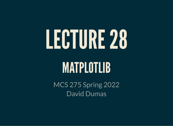# LECTURE28

# MATPLOTLIB

MCS 275 Spring 2022 David Dumas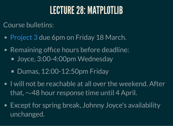#### LECTURE 28: MATPLOTLIB

Course bulletins:

- [Project](https://www.dumas.io/teaching/2022/spring/mcs275/nbview/projects/project3.html) 3 due 6pm on Friday 18 March.
- Remaining office hours before deadline: ■ Joyce, 3:00-4:00pm Wednesday
	- Dumas, 12:00-12:50pm Friday
- I will not be reachable at all over the weekend. After that,  $\sim$ 48 hour response time until 4 April.
- Except for spring break, Johnny Joyce's availability unchanged.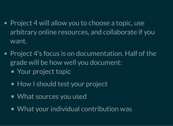- Project 4 will allow you to choose a topic, use arbitrary online resources, and collaborate if you want.
- Project 4's focus is on documentation. Half of the grade will be how well you document: ■ Your project topic
	- How I should test your project
	- What sources you used
	- What your individual contribution was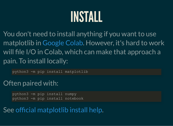#### INSTALL

You don't need to install anything if you want to use matplotlib in [Google](file:///home/ddumas/Dropbox/teaching/mcs275/slides/colab.research.google.com) Colab. However, it's hard to work will file I/O in Colab, which can make that approach a pain. To install locally:

python3 -m pip install matplotlib

#### Often paired with:

python3 -m pip install numpy python3 -m pip install notebook

#### See official [matplotlib](https://matplotlib.org/stable/users/installing.html) install help.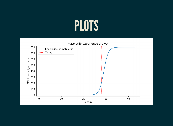### PLOTS

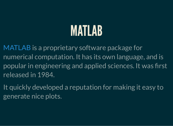### MATLAB

[MATLAB](https://www.mathworks.com/products/matlab.html) is a proprietary software package for numerical computation. It has its own language, and is popular in engineering and applied sciences. It was first released in 1984.

It quickly developed a reputation for making it easy to generate nice plots.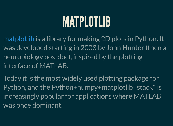#### MATPLOTLIB

[matplotlib](https://matplotlib.org/) is a library for making 2D plots in Python. It was developed starting in 2003 by John Hunter (then a neurobiology postdoc), inspired by the plotting interface of MATLAB.

Today it is the most widely used plotting package for Python, and the Python+numpy+matplotlib "stack" is increasingly popular for applications where MATLAB was once dominant.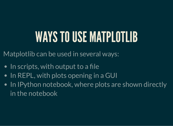# WAYS TO USE MATPLOTLIB

Matplotlib can be used in several ways:

- $\bullet$  In scripts, with output to a file
- In REPL, with plots opening in a GUI
- In IPython notebook, where plots are shown directly in the notebook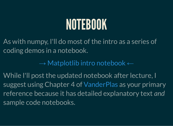# NOTEBOOK

As with numpy, I'll do most of the intro as a series of coding demos in a notebook.

 $\rightarrow$  [Matplotlib](https://www.dumas.io/teaching/2022/spring/mcs275/nbview/samplecode/matplotlib/mpl-intro.html) intro notebook  $\leftarrow$ 

While I'll post the updated notebook after lecture, I suggest using Chapter 4 of [VanderPlas](https://jakevdp.github.io/PythonDataScienceHandbook/) as your primary reference because it has detailed explanatory text *and* sample code notebooks.